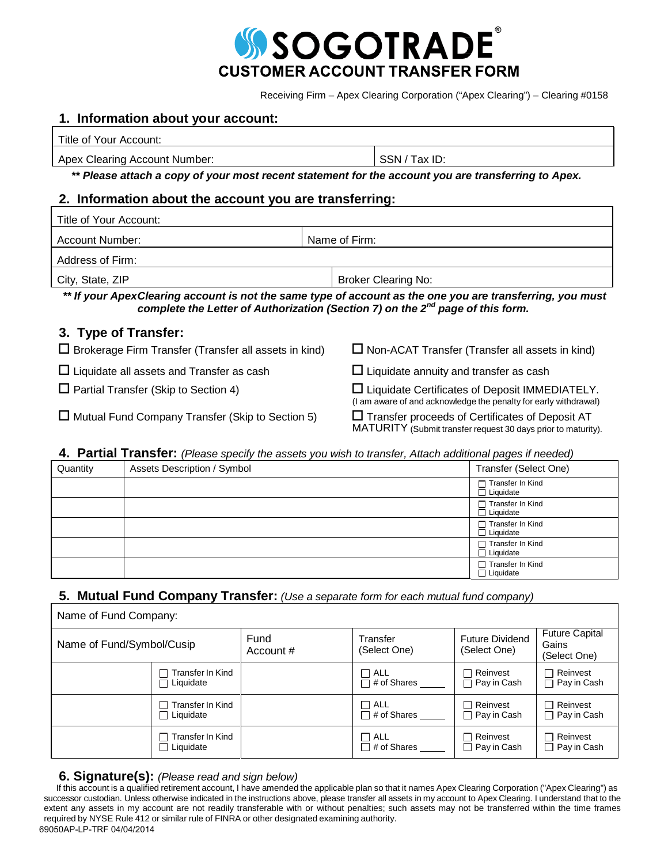

Receiving Firm – Apex Clearing Corporation ("Apex Clearing") – Clearing #0158

## **1. Information about your account:**

| Title of<br>r our<br>™0un⊾<br>AC. |  |
|-----------------------------------|--|
|                                   |  |

Apex Clearing Account Number: SSN / Tax ID:

*\*\* Please attach a copy of your most recent statement for the account you are transferring to Apex.*

## **2. Information about the account you are transferring:**

| Title of Your Account:                                       |                                                                                                                                                                                                  |
|--------------------------------------------------------------|--------------------------------------------------------------------------------------------------------------------------------------------------------------------------------------------------|
| Account Number:                                              | Name of Firm:                                                                                                                                                                                    |
| Address of Firm:                                             |                                                                                                                                                                                                  |
| City, State, ZIP                                             | <b>Broker Clearing No:</b>                                                                                                                                                                       |
|                                                              | ** If your ApexClearing account is not the same type of account as the one you are transferring, you must<br>complete the Letter of Authorization (Section 7) on the $2^{nd}$ page of this form. |
| 3. Type of Transfer:                                         |                                                                                                                                                                                                  |
| $\Box$ Brokerage Firm Transfer (Transfer all assets in kind) | $\Box$ Non-ACAT Transfer (Transfer all assets in kind)                                                                                                                                           |
| $\Box$ Liquidate all assets and Transfer as cash             | $\Box$ Liquidate annuity and transfer as cash                                                                                                                                                    |
| $\Box$ Partial Transfer (Skip to Section 4)                  | $\square$ Liquidate Certificates of Deposit IMMEDIATELY.<br>(I am aware of and acknowledge the penalty for early withdrawal)                                                                     |
|                                                              |                                                                                                                                                                                                  |

 $\Box$  Mutual Fund Company Transfer (Skip to Section 5)  $\Box$  Transfer proceeds of Certificates of Deposit AT MATURITY (Submit transfer request 30 days prior to maturity).

## **4. Partial Transfer:** *(Please specify the assets you wish to transfer, Attach additional pages if needed)*

| Quantity | Assets Description / Symbol | Transfer (Select One)                  |
|----------|-----------------------------|----------------------------------------|
|          |                             | Transfer In Kind<br>$\Box$ Liquidate   |
|          |                             | Transfer In Kind<br>□ Liquidate        |
|          |                             | □ Transfer In Kind<br>Liquidate        |
|          |                             | Transfer In Kind<br>$\Box$ Liquidate   |
|          |                             | □ Transfer In Kind<br>$\Box$ Liquidate |

# **5. Mutual Fund Company Transfer:** *(Use a separate form for each mutual fund company)*

|                           | Name of Fund Company:                    |                   |                                    |                                        |                                                |
|---------------------------|------------------------------------------|-------------------|------------------------------------|----------------------------------------|------------------------------------------------|
| Name of Fund/Symbol/Cusip |                                          | Fund<br>Account # | Transfer<br>(Select One)           | <b>Future Dividend</b><br>(Select One) | <b>Future Capital</b><br>Gains<br>(Select One) |
|                           | Transfer In Kind<br>□ Liquidate          |                   | $\sqcap$ all<br>$\Box$ # of Shares | ヿ Reinvest<br>$\sqsupset$ Pay in Cash  | Reinvest<br>П<br>$\Box$ Pay in Cash            |
|                           | $\sqcap$ Transfer In Kind<br>□ Liquidate |                   | $\Box$ ALL<br>$\Box$ # of Shares   | $\Box$ Reinvest<br>$\Box$ Pay in Cash  | $\Box$ Reinvest<br>$\Box$ Pay in Cash          |
|                           | $\sqcap$ Transfer In Kind<br>□ Liquidate |                   | $\Box$ ALL<br>$\Box$ # of Shares   | ヿ Reinvest<br>$\Box$ Pay in Cash       | $\Box$ Reinvest<br>$\Box$ Pay in Cash          |

## **6. Signature(s):** *(Please read and sign below)*

If this account is a qualified retirement account, I have amended the applicable plan so that it names Apex Clearing Corporation ("Apex Clearing") as successor custodian. Unless otherwise indicated in the instructions above, please transfer all assets in my account to Apex Clearing. I understand that to the extent any assets in my account are not readily transferable with or without penalties; such assets may not be transferred within the time frames required by NYSE Rule 412 or similar rule of FINRA or other designated examining authority. 69050AP-LP-TRF 04/04/2014